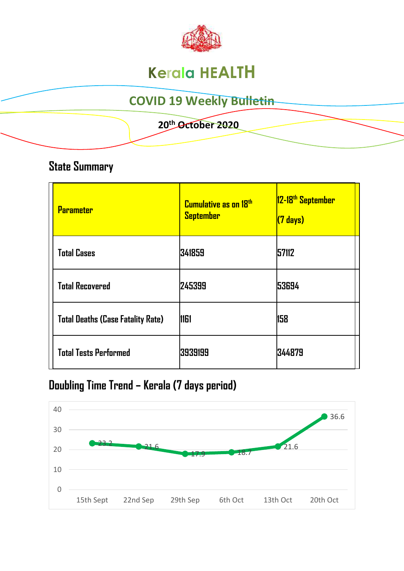

# **Kerala HEALTH**

## **COVID 19 Weekly Bulletin**

### **20th October 2020**

### **State Summary**

| <b>Parameter</b>                         | <b>Cumulative as on 18th</b><br><b>September</b> | 12-18 <sup>th</sup> September<br>(7 days) |
|------------------------------------------|--------------------------------------------------|-------------------------------------------|
| <b>Total Cases</b>                       | 341859                                           | 57112                                     |
| <b>Total Recovered</b>                   | 245399                                           | 53694                                     |
| <b>Total Deaths (Case Fatality Rate)</b> | <b>1161</b>                                      | 158                                       |
| <b>Total Tests Performed</b>             | 3939199                                          | 344879                                    |

## **Doubling Time Trend – Kerala (7 days period)**

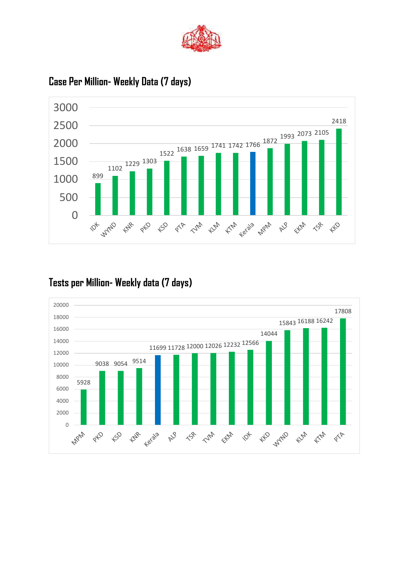



### **Case Per Million- Weekly Data (7 days)**

### **Tests per Million- Weekly data (7 days)**